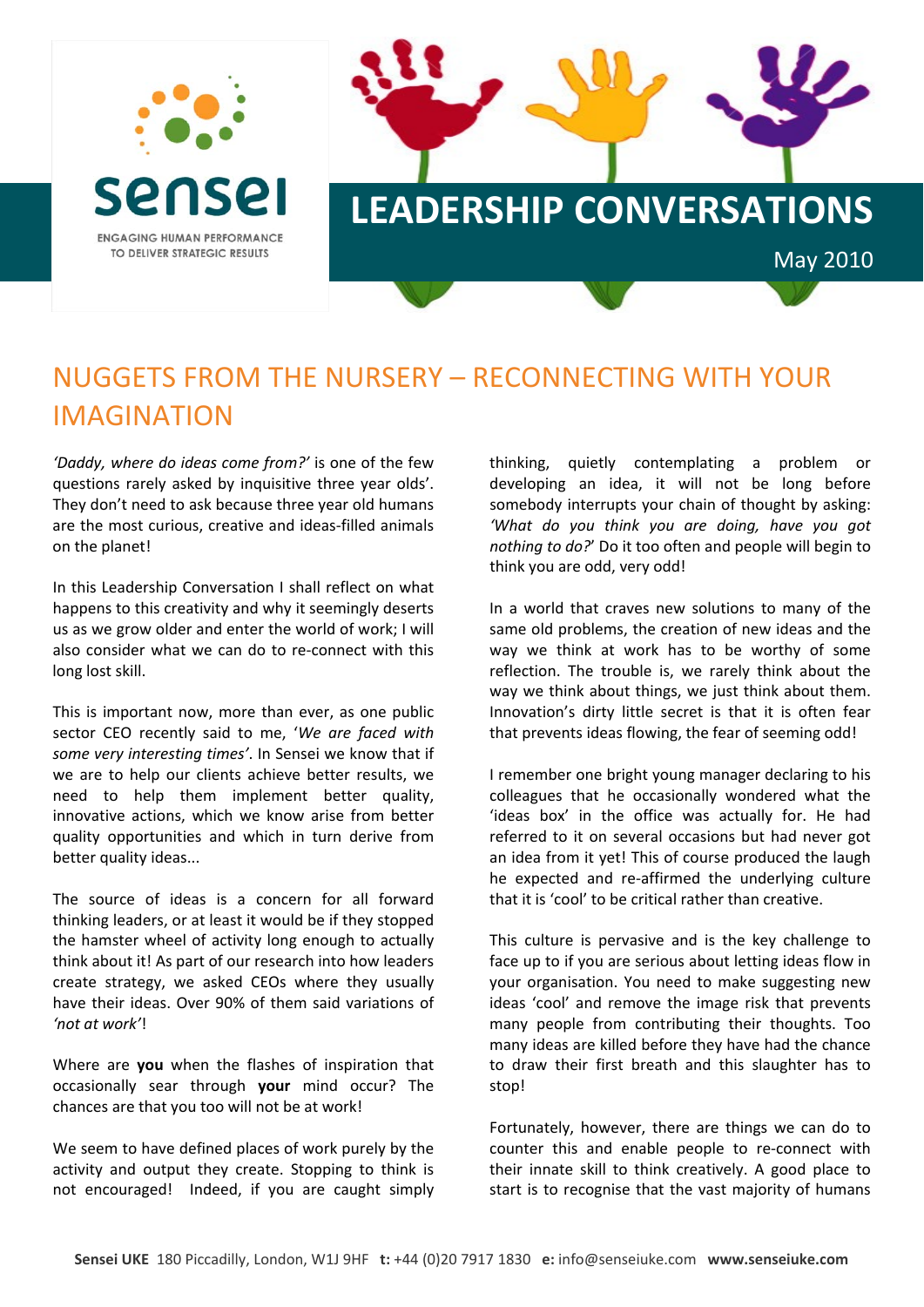

## NUGGETS FROM THE NURSERY – RECONNECTING WITH YOUR IMAGINATION

*'Daddy, where do ideas come from?'* is one of the few questions rarely asked by inquisitive three year olds'. They don't need to ask because three year old humans are the most curious, creative and ideas-filled animals on the planet!

In this Leadership Conversation I shall reflect on what happens to this creativity and why it seemingly deserts us as we grow older and enter the world of work; I will also consider what we can do to re‐connect with this long lost skill.

This is important now, more than ever, as one public sector CEO recently said to me, '*We are faced with some very interesting times'*. In Sensei we know that if we are to help our clients achieve better results, we need to help them implement better quality, innovative actions, which we know arise from better quality opportunities and which in turn derive from better quality ideas...

The source of ideas is a concern for all forward thinking leaders, or at least it would be if they stopped the hamster wheel of activity long enough to actually think about it! As part of our research into how leaders create strategy, we asked CEOs where they usually have their ideas. Over 90% of them said variations of *'not at work'*!

Where are **you** when the flashes of inspiration that occasionally sear through **your** mind occur? The chances are that you too will not be at work!

We seem to have defined places of work purely by the activity and output they create. Stopping to think is not encouraged! Indeed, if you are caught simply thinking, quietly contemplating a problem or developing an idea, it will not be long before somebody interrupts your chain of thought by asking: *'What do you think you are doing, have you got nothing to do?*' Do it too often and people will begin to think you are odd, very odd!

In a world that craves new solutions to many of the same old problems, the creation of new ideas and the way we think at work has to be worthy of some reflection. The trouble is, we rarely think about the way we think about things, we just think about them. Innovation's dirty little secret is that it is often fear that prevents ideas flowing, the fear of seeming odd!

I remember one bright young manager declaring to his colleagues that he occasionally wondered what the 'ideas box' in the office was actually for. He had referred to it on several occasions but had never got an idea from it yet! This of course produced the laugh he expected and re-affirmed the underlying culture that it is 'cool' to be critical rather than creative.

This culture is pervasive and is the key challenge to face up to if you are serious about letting ideas flow in your organisation. You need to make suggesting new ideas 'cool' and remove the image risk that prevents many people from contributing their thoughts. Too many ideas are killed before they have had the chance to draw their first breath and this slaughter has to stop!

Fortunately, however, there are things we can do to counter this and enable people to re‐connect with their innate skill to think creatively. A good place to start is to recognise that the vast majority of humans